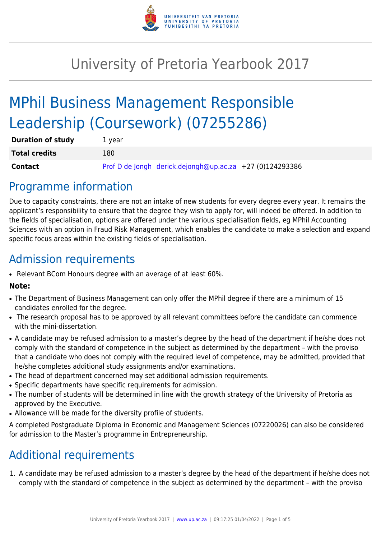

# University of Pretoria Yearbook 2017

# MPhil Business Management Responsible Leadership (Coursework) (07255286)

| <b>Duration of study</b> | 1 year |                                                          |  |
|--------------------------|--------|----------------------------------------------------------|--|
| <b>Total credits</b>     | 180    |                                                          |  |
| <b>Contact</b>           |        | Prof D de Jongh derick.dejongh@up.ac.za +27 (0)124293386 |  |

## Programme information

Due to capacity constraints, there are not an intake of new students for every degree every year. It remains the applicant's responsibility to ensure that the degree they wish to apply for, will indeed be offered. In addition to the fields of specialisation, options are offered under the various specialisation fields, eg MPhil Accounting Sciences with an option in Fraud Risk Management, which enables the candidate to make a selection and expand specific focus areas within the existing fields of specialisation.

## Admission requirements

• Relevant BCom Honours degree with an average of at least 60%.

## **Note:**

- The Department of Business Management can only offer the MPhil degree if there are a minimum of 15 candidates enrolled for the degree.
- The research proposal has to be approved by all relevant committees before the candidate can commence with the mini-dissertation.
- A candidate may be refused admission to a master's degree by the head of the department if he/she does not comply with the standard of competence in the subject as determined by the department – with the proviso that a candidate who does not comply with the required level of competence, may be admitted, provided that he/she completes additional study assignments and/or examinations.
- The head of department concerned may set additional admission requirements.
- Specific departments have specific requirements for admission.
- The number of students will be determined in line with the growth strategy of the University of Pretoria as approved by the Executive.
- Allowance will be made for the diversity profile of students.

A completed Postgraduate Diploma in Economic and Management Sciences (07220026) can also be considered for admission to the Master's programme in Entrepreneurship.

## Additional requirements

1. A candidate may be refused admission to a master's degree by the head of the department if he/she does not comply with the standard of competence in the subject as determined by the department – with the proviso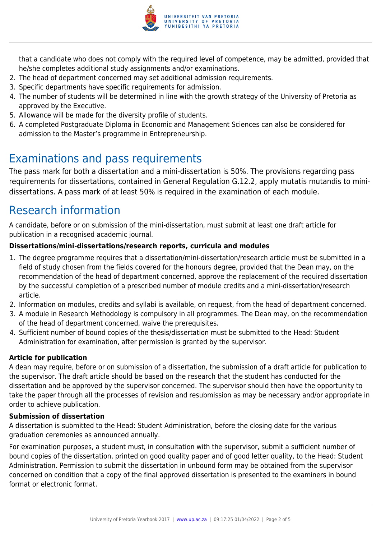

that a candidate who does not comply with the required level of competence, may be admitted, provided that he/she completes additional study assignments and/or examinations.

- 2. The head of department concerned may set additional admission requirements.
- 3. Specific departments have specific requirements for admission.
- 4. The number of students will be determined in line with the growth strategy of the University of Pretoria as approved by the Executive.
- 5. Allowance will be made for the diversity profile of students.
- 6. A completed Postgraduate Diploma in Economic and Management Sciences can also be considered for admission to the Master's programme in Entrepreneurship.

## Examinations and pass requirements

The pass mark for both a dissertation and a mini-dissertation is 50%. The provisions regarding pass requirements for dissertations, contained in General Regulation G.12.2, apply mutatis mutandis to minidissertations. A pass mark of at least 50% is required in the examination of each module.

## Research information

A candidate, before or on submission of the mini-dissertation, must submit at least one draft article for publication in a recognised academic journal.

## **Dissertations/mini-dissertations/research reports, curricula and modules**

- 1. The degree programme requires that a dissertation/mini-dissertation/research article must be submitted in a field of study chosen from the fields covered for the honours degree, provided that the Dean may, on the recommendation of the head of department concerned, approve the replacement of the required dissertation by the successful completion of a prescribed number of module credits and a mini-dissertation/research article.
- 2. Information on modules, credits and syllabi is available, on request, from the head of department concerned.
- 3. A module in Research Methodology is compulsory in all programmes. The Dean may, on the recommendation of the head of department concerned, waive the prerequisites.
- 4. Sufficient number of bound copies of the thesis/dissertation must be submitted to the Head: Student Administration for examination, after permission is granted by the supervisor.

## **Article for publication**

A dean may require, before or on submission of a dissertation, the submission of a draft article for publication to the supervisor. The draft article should be based on the research that the student has conducted for the dissertation and be approved by the supervisor concerned. The supervisor should then have the opportunity to take the paper through all the processes of revision and resubmission as may be necessary and/or appropriate in order to achieve publication.

## **Submission of dissertation**

A dissertation is submitted to the Head: Student Administration, before the closing date for the various graduation ceremonies as announced annually.

For examination purposes, a student must, in consultation with the supervisor, submit a sufficient number of bound copies of the dissertation, printed on good quality paper and of good letter quality, to the Head: Student Administration. Permission to submit the dissertation in unbound form may be obtained from the supervisor concerned on condition that a copy of the final approved dissertation is presented to the examiners in bound format or electronic format.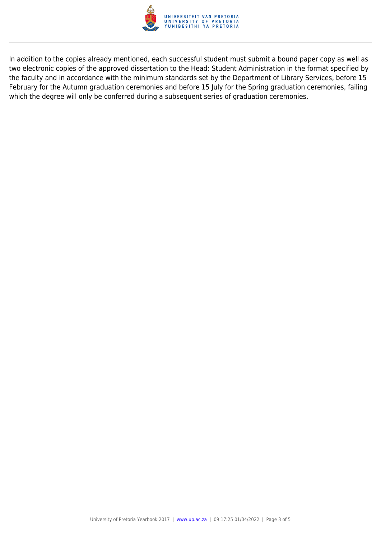

In addition to the copies already mentioned, each successful student must submit a bound paper copy as well as two electronic copies of the approved dissertation to the Head: Student Administration in the format specified by the faculty and in accordance with the minimum standards set by the Department of Library Services, before 15 February for the Autumn graduation ceremonies and before 15 July for the Spring graduation ceremonies, failing which the degree will only be conferred during a subsequent series of graduation ceremonies.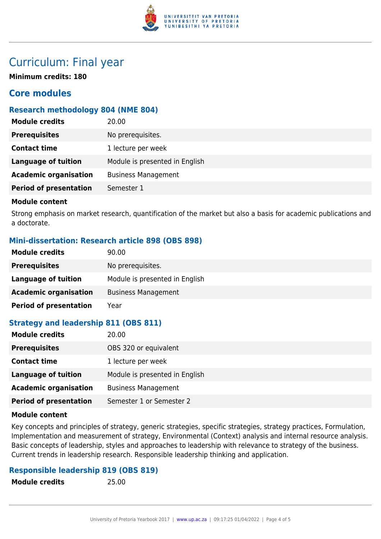

## Curriculum: Final year

**Minimum credits: 180**

## **Core modules**

## **Research methodology 804 (NME 804)**

| <b>Module credits</b>         | 20.00                          |
|-------------------------------|--------------------------------|
| <b>Prerequisites</b>          | No prerequisites.              |
| <b>Contact time</b>           | 1 lecture per week             |
| <b>Language of tuition</b>    | Module is presented in English |
| <b>Academic organisation</b>  | <b>Business Management</b>     |
| <b>Period of presentation</b> | Semester 1                     |

### **Module content**

Strong emphasis on market research, quantification of the market but also a basis for academic publications and a doctorate.

## **Mini-dissertation: Research article 898 (OBS 898)**

| <b>Module credits</b>         | 90.00                          |
|-------------------------------|--------------------------------|
| <b>Prerequisites</b>          | No prerequisites.              |
| Language of tuition           | Module is presented in English |
| <b>Academic organisation</b>  | <b>Business Management</b>     |
| <b>Period of presentation</b> | Year                           |

## **Strategy and leadership 811 (OBS 811)**

| <b>Module credits</b>         | 20.00                          |
|-------------------------------|--------------------------------|
| <b>Prerequisites</b>          | OBS 320 or equivalent          |
| <b>Contact time</b>           | 1 lecture per week             |
| <b>Language of tuition</b>    | Module is presented in English |
| <b>Academic organisation</b>  | <b>Business Management</b>     |
| <b>Period of presentation</b> | Semester 1 or Semester 2       |

### **Module content**

Key concepts and principles of strategy, generic strategies, specific strategies, strategy practices, Formulation, Implementation and measurement of strategy, Environmental (Context) analysis and internal resource analysis. Basic concepts of leadership, styles and approaches to leadership with relevance to strategy of the business. Current trends in leadership research. Responsible leadership thinking and application.

## **Responsible leadership 819 (OBS 819)**

**Module credits** 25.00